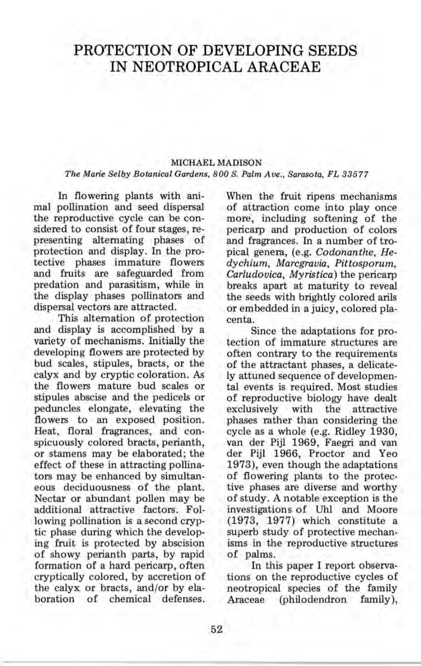# **PROTECTION OF DEVELOPING SEEDS IN NEOTROPICAL ARACEAE**

## MICHAEL MADISON *The Marie Selby Botanical Gardens, 800 S. Palm Ave., Sarasota, FL 33577*

**In** flowering plants with animal pollination and seed dispersal the reproductive cycle can be considered to consist of four stages, representing alternating phases of protection and display. **In** the protective phases immature flowers and fruits are safeguarded from predation and parasitism, while in the display phases pollinators and dispersal vectors are attracted.

This alternation of protection and display is accomplished by a variety of mechanisms. Initially the developing flowers are protected by bud scales, stipules, bracts, or the calyx and by cryptic coloration. As the flowers mature bud scales or stipules abscise and the pedicels or peduncles elongate, elevating the flowers to an exposed position. Heat, floral fragrances, and conspicuously colored bracts, perianth, or stamens may be elaborated; the effect of these in attracting pollinators may be enhanced by simultaneous deciduousness of the plant. Nectar or abundant pollen may be additional attractive factors. Following pollination is a second cryptic phase during which the developing fruit is protected by abscision of showy perianth parts, by rapid formation of a hard pericarp, often cryptically colored, by accretion of the calyx or bracts, and/or by elaboration of chemical defenses.

When the fruit ripens mechanisms of attraction come into play once more, including softening of the pericarp and production of colors and fragrances. **In** a number of tropical genera, (e.g. *Codonanthe, Hedychium, Marcgravia, Pittosporum, Cariudovica, My ristica* ) the pericarp breaks apart at maturity to reveal the seeds with brightly colored arils or embedded in a juicy, colored placenta.

Since the adaptations for protection of immature structures are often contrary to the requirements of the attractant phases, a delicately attuned sequence of developmental events is required. Most studies of reproductive biology have dealt exclusively with the attractive phases rather than considering the cycle as a whole (e.g. Ridley 1930, van der Pijl 1969, Faegri and van der Pijl 1966, Proctor and Yeo 1973), even though the adaptations of flowering plants to the protective phases are diverse and worthy of study. A notable exception is the investigations of Uhl and Moore (1973, 1977) which constitute a superb study of protective mechanisms in the reproductive structures of palms.

**In** this paper I report observations on the reproductive cycles of neotropical species of the family Araceae (philodendron family),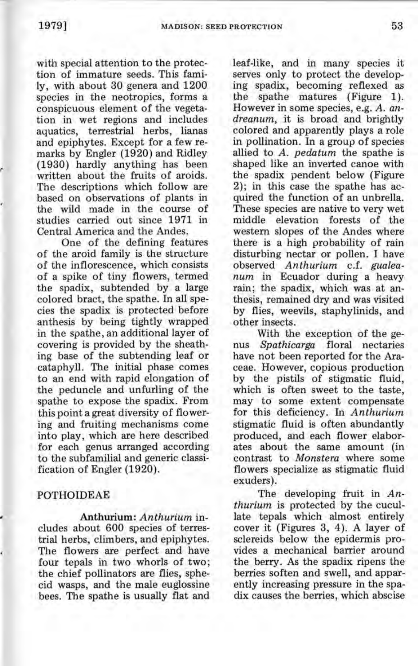with special attention to the protection of immature seeds. This family, with about 30 genera and 1200 species in the neotropics, forms a conspicuous element of the vegetation in wet regions and includes aquatics, terrestrial herbs, lianas and epiphytes. Except for a few remarks by Engler (1920) and Ridley (1930) hardly anything has been written about the fruits of aroids. The descriptions which follow are based on observations of plants in the wild made in the course of studies carried out since 1971 in Central America and the Andes.

One of the defining features of the aroid family is the structure of the inflorescence, which consists of a spike of tiny flowers, termed the spadix, subtended by a large colored bract, the spathe. In all species the spadix is protected before anthesis by being tightly wrapped in the spathe, an additional layer of covering is provided by the sheathing base of the subtending leaf or cataphyll. The initial phase comes to an end with rapid elongation of the peduncle and unfurling of the spathe to expose the spadix. From this point a great diversity of flowering and fruiting mechanisms come into play, which are here described for each genus arranged according to the subfamilial and generic classification of Engler (1920).

## **POTHOIDEAE**

Anthurium: *Anthurium* includes about 600 species of terrestrial herbs, climbers, and epiphytes. The flowers are perfect and have four tepals in two whorls of two; the chief pollinators are flies, sphecid wasps, and the male euglossine bees. The spathe is usually flat and leaf-like, and in many species it serves only to protect the developing spadix, becoming reflexed as the spathe matures (Figure 1). However in some species, e.g. *A. andreanum,* it is broad and brightly colored and apparently plays a role in pollination. In a group of species allied to *A. pedatum* the spathe is shaped like an inverted canoe with the spadix pendent below (Figure 2); in this case the spathe has acquired the function of an unbrella. These species are native to very wet middle elevation forests of the western slopes of the Andes where there is a high probability of rain disturbing nectar or pollen. I have observed *Anthurium* c.f. *gualeanum* in Ecuador during a heavy rain; the spadix, which was at anthesis, remained dry and was visited by flies, weevils, staphylinids, and other insects.

With the exception of the genus *Spathicarga* floral nectaries have not been reported for the Araceae. However, copious production by the pistils of stigmatic fluid, which is often sweet to the taste, may to some extent compensate for this deficiency. In *Anthurium*  stigmatic fluid is often abundantly produced, and each flower elaborates about the same amount (in contrast to *Monstera* where some flowers specialize as stigmatic fluid exuders).

The developing fruit in *Anthurium* is protected by the cucullate tepals which almost entirely cover it (Figures 3, 4). A layer of sclereids below the epidermis provides a mechanical barrier around the berry. As the spadix ripens the berries soften and swell, and apparently increasing pressure in the spadix causes the berries, which abscise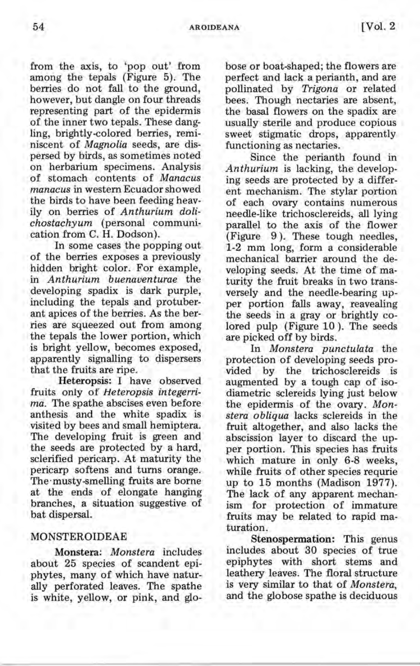from the axis, to 'pop out' from among the tepals (Figure 5). The berries do not fall to the ground, however, but dangle on four threads representing part of the epidermis of the inner two tepals. These dangling, brightly-colored berries, reminiscent of *Magnolia* seeds, are dispersed by birds, as sometimes noted on herbarium specimens. Analysis of stomach contents of *Manacus manacus* in western Ecuador showed the birds to have been feeding heavily on berries of *Anthurium dolichostachyum* (personal communication from C. H. Dodson).

In some cases the popping out of the berries exposes a previously hidden bright color. For example, in *Anthurium buenaventurae* the developing spadix is dark purple, including the tepals and protuberant apices of the berries. As the berries are squeezed out from among the tepals the lower portion, which is bright yellow, becomes exposed, apparently signalling to dispersers that the fruits are ripe.

Heteropsis: I have observed fruits only of *Heteropsis integerrima.* The spathe abscises even before anthesis and the white spadix is visited by bees and small hemiptera. The developing fruit is green and the seeds are protected by a hard, sclerified pericarp. At maturity the pericarp softens and turns orange. The'musty-smelling fruits are borne at the ends of elongate hanging branches, a situation suggestive of bat dispersal.

### MONSTEROIDEAE

Monstera; *Monstera* includes about 25 species of scandent epiphytes, many of which have naturally perforated leaves. The spathe is white, yellow, or pink, and globose or boat-shaped; the flowers are perfect and lack a perianth, and are pollinated by *Trigona* or related bees. Though nectaries are absent, the basal flowers on the spadix are usually sterile and produce copious sweet stigmatic drops, apparently functioning as nectaries.

Since the perianth found in *Anthurium* is lacking, the developing seeds are protected by a different mechanism. The stylar portion of each ovary contains numerous needle-like trichosclereids, all lying parallel to the axis of the flower (Figure 9). These tough needles, 1-2 mm long, form a considerable mechanical barrier around the developing seeds. At the time of maturity the fruit breaks in two transversely and the needle-bearing upper portion falls away, reavealing the seeds in a gray or brightly colored pulp (Figure 10). The seeds are picked off by birds.

In *Monstera punctulata* the protection of developing seeds provided by the trichosclereids is augmented by a tough cap of isodiametric sclereids lying just below the epidermis of the ovary. *Monstera obliqua* lacks sclereids in the fruit altogether, and also lacks the abscission layer to discard the upper portion. This species has fruits which mature in only 6-8 weeks, while fruits of other species requrie up to 15 months (Madison 1977). The lack of any apparent mechanism for protection of immature fruits may be related to rapid maturation.

Stenospermation: This genus includes about 30 species of true epiphytes with short stems and leathery leaves. The floral structure is very similar to that of *Monstera,*  and the globose spathe is deciduous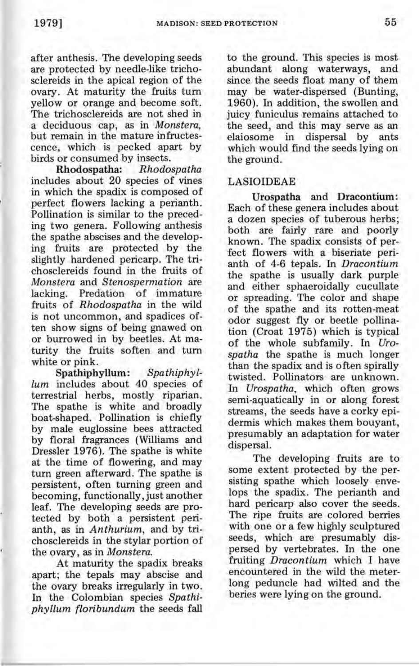after anthesis. The developing seeds are protected by needle-like trichosclereids in the apical region of the ovary. At maturity the fruits turn yellow or orange and become soft. The trichosclereids are not shed in a deciduous cap, as in *Monstera*, but remain in the mature infructescence, which is pecked apart by birds or consumed by insects.

Rhodospatha: *Rhodospatha*  includes about 20 species of vines in which the spadix is composed of perfect flowers lacking a perianth. Pollination is similar to the preceding two genera. Following anthesis the spathe abscises and the developing fruits are protected by the slightly hardened pericarp. The trichosclereids found in the fruits of *Monstera* and *Stenospermation* are lacking. Predation of immature fruits of *Rhodospatha* in the wild is not uncommon, and spadices often show signs of being gnawed on or burrowed in by beetles. At maturity the fruits soften and turn white or pink.

Spathiphyllum: *Spa thiphy llum* includes about 40 species of terrestrial herbs, mostly riparian. The spathe is white and broadly boat-shaped. Pollination is chiefly by male euglossine bees attracted by floral fragrances (Williams and Dressler 1976). The spathe is white at the time of flowering, and may turn green afterward. The spathe is persistent, often turning green and becoming, functionally, just another leaf. The developing seeds are protected by both a persistent perianth, as in *Anthurium,* and by trichosclereids in the stylar portion of the ovary, as in *Monstera.* 

At maturity the spadix breaks apart; the tepals may abscise and the ovary breaks irregularly in two. In the Colombian species Spathi*phyllum floribundum* the seeds fall

to the ground. This species is most abundant along waterways, and since the seeds float many of them may be water-dispersed (Bunting, 1960). In addition, the swollen and juicy funiculus remains attached to the seed, and this may serve as an<br>elaiosome in dispersal by ants elaiosome in dispersal by which would find the seeds lying on the ground.

### LASIOIDEAE

Urospatha and Dracontium: Each of these genera includes about a dozen species of tuberous herbs; both are fairly rare and poorly known. The spadix consists of perfect flowers with a biseriate perianth of 4-6 tepals. In *Dracontium*  the spathe is usually dark purple and either sphaeroidally cucullate or spreading. The color and shape of the spathe and its rotten-meat odor suggest fly or beetle pollination (Croat 1975) which is typical of the whole subfamily. In *Urospatha* the spathe is much longer than the spadix and is often spirally twisted. Pollinators are unknown. In *Urospatha,* which often grows semi -aquatically in or along forest streams, the seeds have a corky epidermis which makes them bouyant, presumably an adaptation for water dispersal.

The developing fruits are to some extent protected by the persisting spathe which loosely envelops the spadix. The perianth and hard pericarp also cover the seeds. The ripe fruits are colored berries with one or a few highly sculptured seeds, which are presumably dispersed by vertebrates. In the one fruiting *Dracontium* which I have encountered in the wild the meterlong peduncle had wilted and the beries were lying on the ground.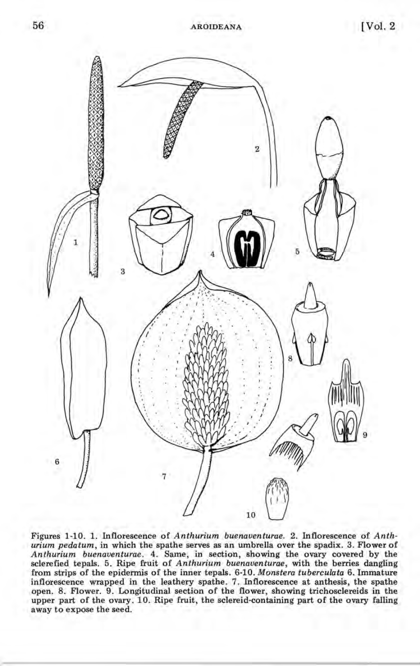

Figures 1-10. 1. Inflorescence of *Anthurium buenaventurae.* 2. Inflorescence of *Anthurium pedatum,* in which the spathe serves as an umbrella over the spadix. 3. Flower of *Anthurium buenaventurae.* 4. Same, in section, showing the ovary covered by the sclerefied tepals. 5. Ripe fruit of *Anthurium buenaventurae,* with the berries dangling from strips of the epidermis of the inner tepals. 6-10. *Monstera tuberculata* 6. Immature inflorescence wrapped in the leathery spathe. 7. Inflorescence at anthesis, the spathe open. 8. Flower. 9. Longitudinal section of the flower, showing trichosclereids in the upper part of the ovary. 10. Ripe fruit, the sclereid-containing part of the ovary falling away to expose the seed.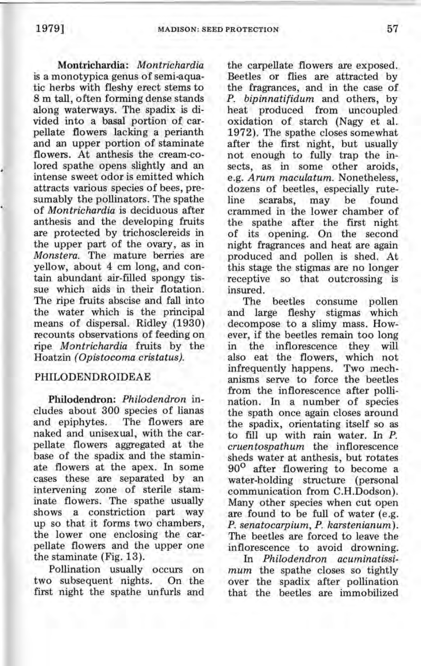Montrichardia: *Montrichardia*  is a monotypica genus of semi-aquatic herbs with fleshy erect stems to 8 m tall, often forming dense stands along waterways. The spadix is divided into a basal portion of carpellate flowers lacking a perianth and an upper portion of staminate flowers. At anthesis the cream-colored spathe opens slightly and an intense sweet odor is emitted which attracts various species of bees, presumably the pollinators. The spathe of *Montrichardia* is deciduous after anthesis and the developing fruits are protected by trichosclereids in the upper part of the ovary, as in *Monstera.* The mature berries are yellow, about 4 cm long, and contain abundant air-filled spongy tissue which aids in their flotation. The ripe fruits abscise and fall into the water which is the principal means of dispersal. Ridley (1930) recounts observations of feeding on ripe *Montrichardia* fruits by the Hoatzin *(Opistocoma cristatus).* 

## PHILODENDROIDEAE

Philodendron: *Philodendron* includes about 300 species of lianas and epiphytes. The flowers are naked and unisexual, with the carpellate flowers aggregated at the base of the spadix and the staminate flowers at the apex. In some cases these are separated by an intervening zone of sterile staminate flowers. The spathe usually shows a constriction part way up so that it forms two chambers, the lower one enclosing the carpellate flowers and the upper one the staminate (Fig. 13).

Pollination usually occurs on two subsequent nights. On the first night the spathe unfurls and

the carpellate flowers are exposed. Beetles or flies are attracted by the fragrances, and in the case of *P. bipinnatifidum* and others, by heat produced from uncoupled oxidation of starch (Nagy et al. 1972). The spathe closes somewhat after the first night, but usually not enough to fully trap the insects, as in some other aroids, e.g. *Arum maculatum.* Nonetheless, dozens of beetles, especially rute-<br>line scarabs, may be found scarabs, may crammed in the lower chamber of the spathe after the first night of its opening. On the second night fragrances and heat are again produced and pollen is shed. At this stage the stigmas are no longer receptive so that outcrossing is insured.

beetles consume pollen and large fleshy stigmas which decompose to a slimy mass. However, if the beetles remain too long in the inflorescence they will also eat the flowers, which not infrequently happens. Two mechanisms serve to force the beetles from the inflorescence after pollination. In a number of species the spath once again closes around the spadix, orientating itself so as to fill up with rain water. In P. *cruentospathum* the inflorescence sheds water at anthesis, but rotates 90<sup>o</sup> after flowering to become a water-holding structure (personal communication from C.H.Dodson). Many other species when cut open are found to be full of water (e.g. *P. senatocarpium, P. karstenianum).*  The beetles are forced to leave the inflorescence to avoid drowning.

In *Philodendron acuminatissimum* the spathe closes so tightly over the spadix after pollination that the beetles are immobilized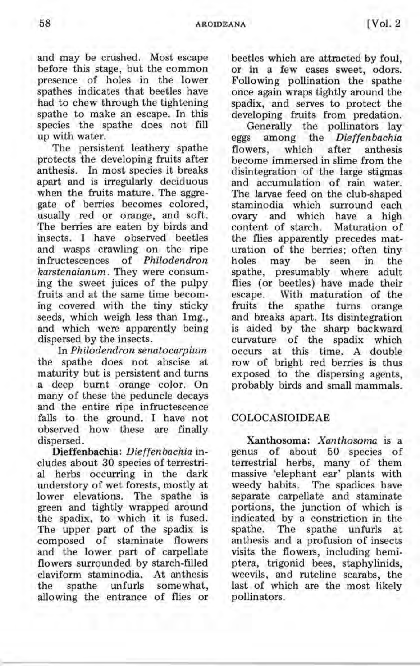and may be crushed. Most escape before this stage, but the common presence of holes in the lower spathes indicates that beetles have had to chew through the tightening spathe to make an escape. In this species the spathe does not fill up with water.

The persistent leathery spathe protects the developing fruits after anthesis. In most species it breaks apart and is irregularly deciduous when the fruits mature. The aggregate of berries becomes colored, usually red or orange, and soft. The berries are eaten by birds and insects. I have observed beetles and wasps crawling on the ripe infructescences of *Philodendron karstenaianum.* They were consuming the sweet juices of the pulpy fruits and at the same time becoming covered with the tiny sticky seeds, which weigh less than Img., and which were apparently being dispersed by the insects.

In *Philodendron senatocarpium*  the spathe does not abscise at maturity but is persistent and turns a deep burnt orange color. On many of these the peduncle decays and the entire ripe infructescence falls to the ground. I have not observed how these are finally dispersed.

Dieffenbachia: *Dieffenbachia* includes about 30 species of terrestrial herbs occurring in the dark understory of wet forests, mostly at lower elevations. The spathe is green and tightly wrapped around the spadix, to which it is fused. The upper part of the spadix is composed of staminate flowers and the lower part of carpellate flowers surrounded by starch-filled claviform staminodia. At anthesis the spathe unfurls somewhat, allowing the entrance of flies or beetles which are attracted by foul, or in a few cases sweet, odors. Following pollination the spathe once again wraps tightly around the spadix, and serves to protect the developing fruits from predation.

Generally the pollinators lay eggs among the *Dieffenbachia*  flowers, which after anthesis become immersed in slime from the disintegration of the large stigmas and accumulation of rain water. The larvae feed on the club-shaped staminodia which surround each ovary and which have a high content of starch. Maturation of the flies apparently precedes maturation of the berries; often tiny holes may be seen in the spathe, presumably where adult flies (or beetles) have made their escape. With maturation of the<br>fruits the spathe turns orange spathe turns orange and breaks apart. Its disintegration is aided by the sharp backward curvature of the spadix which occurs at this time. A double row of bright red berries is thus exposed to the dispersing agents, probably birds and small mammals.

## COLOCASIOIDEAE

Xanthosoma: *Xanthosoma* is a genus of about 50 species of terrestrial herbs, many of them massive 'elephant ear' plants with weedy habits. The spadices have separate carpellate and staminate portions, the junction of which is indicated by a constriction in the spathe. The spathe unfurls at anthesis and a profusion of insects visits the flowers, including hemiptera, trigonid bees, staphylinids, weevils, and ruteline scarabs, the last of which are the most likely pollinators.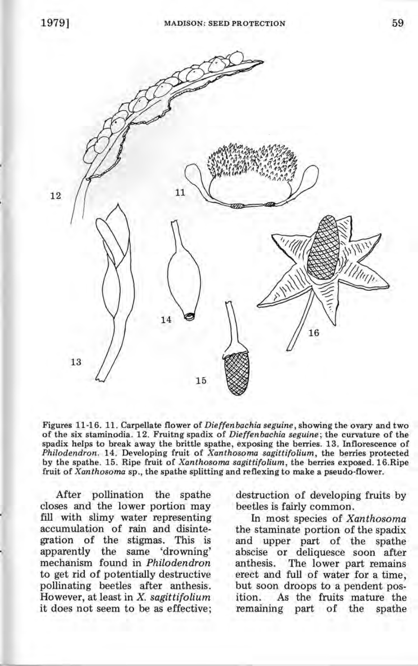

Figures 11-16. 11. Carpellate flower of *Dieffenbachia seguine,* showing the ovary and two of the six staminodia . 12. Fruitng spadix of *Dieffenbachia seguine;* the curvature of the spadix helps to break away the brittle spathe, exposing the berries. 13. Inflorescence of *Philodendron.* 14. Developing fruit of *Xanthosoma sagittifolium,* the berries protected by the spathe. 15. Ripe fruit of *Xanthosoma sagittifolium,* the berries exposed. 16.Ripe fruit of *Xanthosoma* sp., the spathe splitting and reflexing to make a pseudo-flower.

After pollination the spathe closes and the lower portion may fill with slimy water representing accumulation of rain and disintegration of the stigmas. This is apparently the same 'drowning' mechanism found in *Philodendron*  to get rid of potentially destructive pollinating beetles after anthesis. However, at least in X. *sagittifolium*  it does not seem to be as effective; destruction of developing fruits by beetles is fairly common.

In most species of *Xanthosoma*  the staminate portion of the spadix and upper part of the spathe abscise or deliquesce soon after<br>anthesis. The lower part remains The lower part remains erect and full of water for a time, but soon droops to a pendent position. As the fruits mature the remaining part of the spathe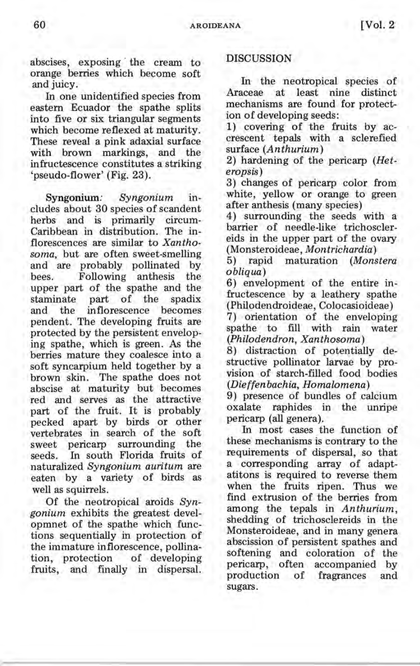abscises, exposing the cream to orange berries which become soft and juicy.

In one unidentified species from eastern Ecuador the spathe splits into five or six triangular segments which become reflexed at maturity. These reveal a pink adaxial surface with brown markings, and the infructescence constitutes a striking 'pseudo-flower' (Fig. 23).

Syngonium: *Syngonium* includes about 30 species of scandent herbs and is primarily circum-Caribbean in distribution. The inflorescences are similar to *Xanthosoma,* but are often sweet-smelling and are probably pollinated by<br>bees. Following anthesis the Following anthesis upper part of the spathe and the<br>staminate part of the spadix staminate part of the<br>and the inflorescence b inflorescence becomes pendent. The developing fruits are protected by the persistent enveloping spathe, which is green. As the berries mature they coalesce into a soft syncarpium held together by a brown skin. The spathe does not abscise at maturity but becomes red and serves as the attractive part of the fruit. It is probably pecked apart by birds or other vertebrates in search of the soft sweet pericarp surrounding the seeds. In south Florida fruits of naturalized *Syngonium auritum* are eaten by a variety of birds as well as squirrels.

Of the neotropical aroids *Syngonium* exhibits the greatest developmnet of the spathe which functions sequentially in protection of the immature inflorescence, pollination, protection of developing fruits, and finally in dispersal.

## DISCUSSION

In the neotropical species of<br>aceae at least nine distinct Araceae at least nine mechanisms are found for protection of developing seeds:

1) covering of the fruits by accrescent tepals with a sclerefied surface *(Anthurium)* 

2) hardening of the pericarp *(Heteropsis)* 

3) changes of pericarp color from white, yellow or orange to green after anthesis (many species)

4) surrounding the seeds with a barrier of needle-like trichosclereids in the upper part of the ovary (Monsteroideae, *Montrichardia)* 

5) rapid maturation *(Monstera obliqua)* 

6) envelopment of the entire infructescence by a leathery spathe (Philodendroideae, Colocasioideae)

7) orientation of the enveloping spathe to fill with rain water *(Philodendron, Xanthosoma)* 

8) distraction of potentially destructive pollinator larvae by provision of starch-filled food bodies *(Dieffenbachia, Homalomena)* 

9) presence of bundles of calcium oxalate raphides in the unripe pericarp (all genera).

In most cases the function of these mechanisms is contrary to the requirements of dispersal, so that a corresponding array of adaptatitons is required to reverse them when the fruits ripen. Thus we find extrusion of the berries from among the tepals in *Anthurium*  shedding of trichosclereids in the<br>Monsteroideae, and in many genera abscission of persistent spathes and softening and coloration of the pericarp, often accompanied by production of fragrances and sugars.